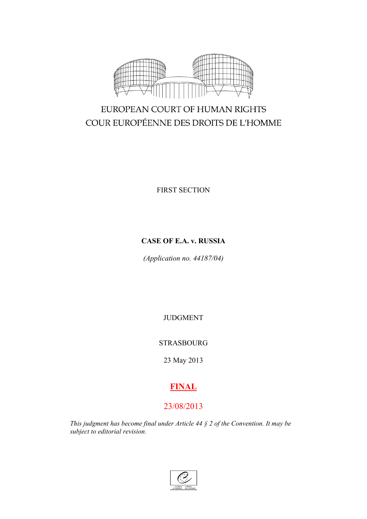

# EUROPEAN COURT OF HUMAN RIGHTS COUR EUROPÉENNE DES DROITS DE L'HOMME

FIRST SECTION

# **CASE OF E.A. v. RUSSIA**

*(Application no. 44187/04)*

JUDGMENT

# STRASBOURG

23 May 2013

# **FINAL**

# 23/08/2013

*This judgment has become final under Article 44 § 2 of the Convention. It may be subject to editorial revision.*

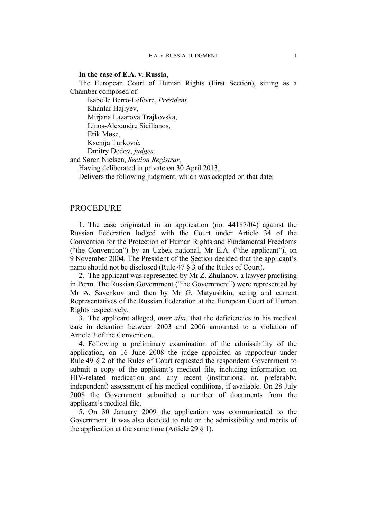# **In the case of E.A. v. Russia,**

The European Court of Human Rights (First Section), sitting as a Chamber composed of:

Isabelle Berro-Lefèvre, *President,*

Khanlar Hajiyev,

Mirjana Lazarova Trajkovska, Linos-Alexandre Sicilianos,

Erik Møse,

Ksenija Turković, Dmitry Dedov, *judges,*

and Søren Nielsen, *Section Registrar,*

Having deliberated in private on 30 April 2013,

Delivers the following judgment, which was adopted on that date:

# **PROCEDURE**

1. The case originated in an application (no. 44187/04) against the Russian Federation lodged with the Court under Article 34 of the Convention for the Protection of Human Rights and Fundamental Freedoms ("the Convention") by an Uzbek national, Mr E.A. ("the applicant"), on 9 November 2004. The President of the Section decided that the applicant's name should not be disclosed (Rule 47 § 3 of the Rules of Court).

2. The applicant was represented by Mr Z. Zhulanov, a lawyer practising in Perm. The Russian Government ("the Government") were represented by Mr A. Savenkov and then by Mr G. Matyushkin, acting and current Representatives of the Russian Federation at the European Court of Human Rights respectively.

3. The applicant alleged, *inter alia*, that the deficiencies in his medical care in detention between 2003 and 2006 amounted to a violation of Article 3 of the Convention.

4. Following a preliminary examination of the admissibility of the application, on 16 June 2008 the judge appointed as rapporteur under Rule 49 § 2 of the Rules of Court requested the respondent Government to submit a copy of the applicant's medical file, including information on HIV-related medication and any recent (institutional or, preferably, independent) assessment of his medical conditions, if available. On 28 July 2008 the Government submitted a number of documents from the applicant's medical file.

5. On 30 January 2009 the application was communicated to the Government. It was also decided to rule on the admissibility and merits of the application at the same time (Article 29  $\S$  1).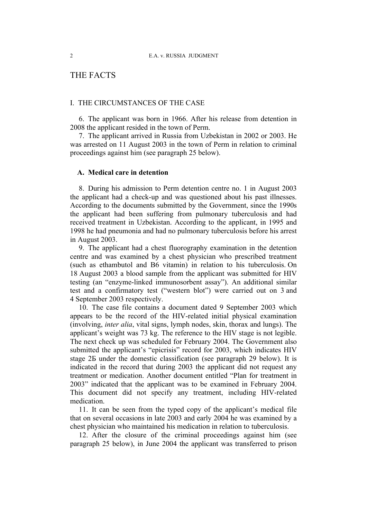# THE FACTS

# I. THE CIRCUMSTANCES OF THE CASE

6. The applicant was born in 1966. After his release from detention in 2008 the applicant resided in the town of Perm.

7. The applicant arrived in Russia from Uzbekistan in 2002 or 2003. He was arrested on 11 August 2003 in the town of Perm in relation to criminal proceedings against him (see paragraph 25 below).

# **A. Medical care in detention**

8. During his admission to Perm detention centre no. 1 in August 2003 the applicant had a check-up and was questioned about his past illnesses. According to the documents submitted by the Government, since the 1990s the applicant had been suffering from pulmonary tuberculosis and had received treatment in Uzbekistan. According to the applicant, in 1995 and 1998 he had pneumonia and had no pulmonary tuberculosis before his arrest in August 2003.

<span id="page-3-1"></span>9. The applicant had a chest fluorography examination in the detention centre and was examined by a chest physician who prescribed treatment (such as ethambutol and B6 vitamin) in relation to his tuberculosis. On 18 August 2003 a blood sample from the applicant was submitted for HIV testing (an "enzyme-linked immunosorbent assay"). An additional similar test and a confirmatory test ("western blot") were carried out on 3 and 4 September 2003 respectively.

<span id="page-3-2"></span>10. The case file contains a document dated 9 September 2003 which appears to be the record of the HIV-related initial physical examination (involving, *inter alia*, vital signs, lymph nodes, skin, thorax and lungs). The applicant's weight was 73 kg. The reference to the HIV stage is not legible. The next check up was scheduled for February 2004. The Government also submitted the applicant's "epicrisis" record for 2003, which indicates HIV stage 2Б under the domestic classification (see paragraph [29](#page-6-0) below). It is indicated in the record that during 2003 the applicant did not request any treatment or medication. Another document entitled "Plan for treatment in 2003" indicated that the applicant was to be examined in February 2004. This document did not specify any treatment, including HIV-related medication.

11. It can be seen from the typed copy of the applicant's medical file that on several occasions in late 2003 and early 2004 he was examined by a chest physician who maintained his medication in relation to tuberculosis.

<span id="page-3-0"></span>12. After the closure of the criminal proceedings against him (see paragraph 25 below), in June 2004 the applicant was transferred to prison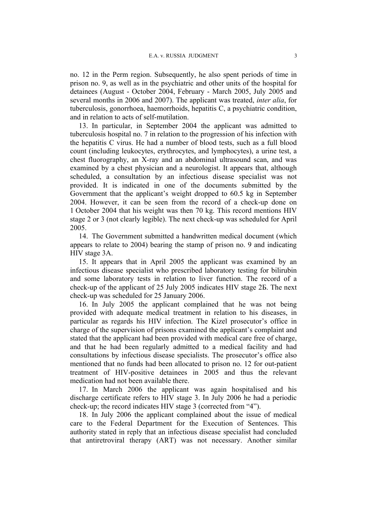no. 12 in the Perm region. Subsequently, he also spent periods of time in prison no. 9, as well as in the psychiatric and other units of the hospital for detainees (August - October 2004, February - March 2005, July 2005 and several months in 2006 and 2007). The applicant was treated, *inter alia*, for tuberculosis, gonorrhoea, haemorrhoids, hepatitis C, a psychiatric condition, and in relation to acts of self-mutilation.

13. In particular, in September 2004 the applicant was admitted to tuberculosis hospital no. 7 in relation to the progression of his infection with the hepatitis C virus. He had a number of blood tests, such as a full blood count (including leukocytes, erythrocytes, and lymphocytes), a urine test, a chest fluorography, an X-ray and an abdominal ultrasound scan, and was examined by a chest physician and a neurologist. It appears that, although scheduled, a consultation by an infectious disease specialist was not provided. It is indicated in one of the documents submitted by the Government that the applicant's weight dropped to 60.5 kg in September 2004. However, it can be seen from the record of a check-up done on 1 October 2004 that his weight was then 70 kg. This record mentions HIV stage 2 or 3 (not clearly legible). The next check-up was scheduled for April 2005.

14. The Government submitted a handwritten medical document (which appears to relate to 2004) bearing the stamp of prison no. 9 and indicating HIV stage 3A.

15. It appears that in April 2005 the applicant was examined by an infectious disease specialist who prescribed laboratory testing for bilirubin and some laboratory tests in relation to liver function. The record of a check-up of the applicant of 25 July 2005 indicates HIV stage 2Б. The next check-up was scheduled for 25 January 2006.

<span id="page-4-0"></span>16. In July 2005 the applicant complained that he was not being provided with adequate medical treatment in relation to his diseases, in particular as regards his HIV infection. The Kizel prosecutor's office in charge of the supervision of prisons examined the applicant's complaint and stated that the applicant had been provided with medical care free of charge, and that he had been regularly admitted to a medical facility and had consultations by infectious disease specialists. The prosecutor's office also mentioned that no funds had been allocated to prison no. 12 for out-patient treatment of HIV-positive detainees in 2005 and thus the relevant medication had not been available there.

17. In March 2006 the applicant was again hospitalised and his discharge certificate refers to HIV stage 3. In July 2006 he had a periodic check-up; the record indicates HIV stage 3 (corrected from "4").

<span id="page-4-1"></span>18. In July 2006 the applicant complained about the issue of medical care to the Federal Department for the Execution of Sentences. This authority stated in reply that an infectious disease specialist had concluded that antiretroviral therapy (ART) was not necessary. Another similar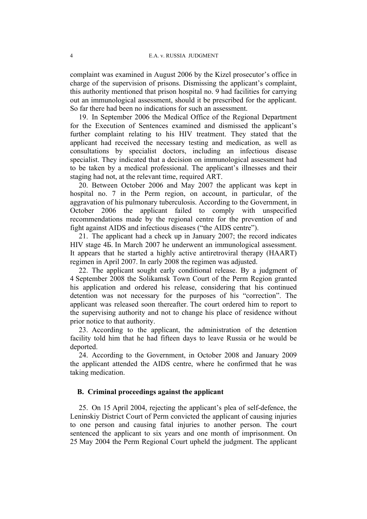#### 4 E.A. v. RUSSIA JUDGMENT

complaint was examined in August 2006 by the Kizel prosecutor's office in charge of the supervision of prisons. Dismissing the applicant's complaint, this authority mentioned that prison hospital no. 9 had facilities for carrying out an immunological assessment, should it be prescribed for the applicant. So far there had been no indications for such an assessment.

<span id="page-5-1"></span>19. In September 2006 the Medical Office of the Regional Department for the Execution of Sentences examined and dismissed the applicant's further complaint relating to his HIV treatment. They stated that the applicant had received the necessary testing and medication, as well as consultations by specialist doctors, including an infectious disease specialist. They indicated that a decision on immunological assessment had to be taken by a medical professional. The applicant's illnesses and their staging had not, at the relevant time, required ART.

20. Between October 2006 and May 2007 the applicant was kept in hospital no. 7 in the Perm region, on account, in particular, of the aggravation of his pulmonary tuberculosis. According to the Government, in October 2006 the applicant failed to comply with unspecified recommendations made by the regional centre for the prevention of and fight against AIDS and infectious diseases ("the AIDS centre").

<span id="page-5-2"></span>21. The applicant had a check up in January 2007; the record indicates HIV stage 4Б. In March 2007 he underwent an immunological assessment. It appears that he started a highly active antiretroviral therapy (HAART) regimen in April 2007. In early 2008 the regimen was adjusted.

<span id="page-5-0"></span>22. The applicant sought early conditional release. By a judgment of 4 September 2008 the Solikamsk Town Court of the Perm Region granted his application and ordered his release, considering that his continued detention was not necessary for the purposes of his "correction". The applicant was released soon thereafter. The court ordered him to report to the supervising authority and not to change his place of residence without prior notice to that authority.

23. According to the applicant, the administration of the detention facility told him that he had fifteen days to leave Russia or he would be deported.

24. According to the Government, in October 2008 and January 2009 the applicant attended the AIDS centre, where he confirmed that he was taking medication.

## **B. Criminal proceedings against the applicant**

25. On 15 April 2004, rejecting the applicant's plea of self-defence, the Leninskiy District Court of Perm convicted the applicant of causing injuries to one person and causing fatal injuries to another person. The court sentenced the applicant to six years and one month of imprisonment. On 25 May 2004 the Perm Regional Court upheld the judgment. The applicant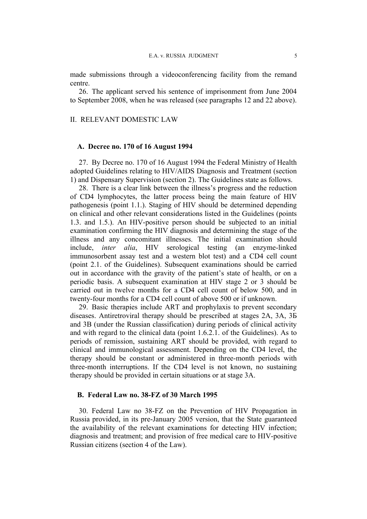made submissions through a videoconferencing facility from the remand centre.

26. The applicant served his sentence of imprisonment from June 2004 to September 2008, when he was released (see paragraphs [12](#page-3-0) and [22](#page-5-0) above).

## II. RELEVANT DOMESTIC LAW

### **A. Decree no. 170 of 16 August 1994**

<span id="page-6-1"></span>27. By Decree no. 170 of 16 August 1994 the Federal Ministry of Health adopted Guidelines relating to HIV/AIDS Diagnosis and Treatment (section 1) and Dispensary Supervision (section 2). The Guidelines state as follows.

28. There is a clear link between the illness's progress and the reduction of CD4 lymphocytes, the latter process being the main feature of HIV pathogenesis (point 1.1.). Staging of HIV should be determined depending on clinical and other relevant considerations listed in the Guidelines (points 1.3. and 1.5.). An HIV-positive person should be subjected to an initial examination confirming the HIV diagnosis and determining the stage of the illness and any concomitant illnesses. The initial examination should include, *inter alia*, HIV serological testing (an enzyme-linked immunosorbent assay test and a western blot test) and a CD4 cell count (point 2.1. of the Guidelines). Subsequent examinations should be carried out in accordance with the gravity of the patient's state of health, or on a periodic basis. A subsequent examination at HIV stage 2 or 3 should be carried out in twelve months for a CD4 cell count of below 500, and in twenty-four months for a CD4 cell count of above 500 or if unknown.

<span id="page-6-0"></span>29. Basic therapies include ART and prophylaxis to prevent secondary diseases. Antiretroviral therapy should be prescribed at stages 2A, 3A, 3Б and 3B (under the Russian classification) during periods of clinical activity and with regard to the clinical data (point 1.6.2.1. of the Guidelines). As to periods of remission, sustaining ART should be provided, with regard to clinical and immunological assessment. Depending on the CD4 level, the therapy should be constant or administered in three-month periods with three-month interruptions. If the CD4 level is not known, no sustaining therapy should be provided in certain situations or at stage 3A.

## **B. Federal Law no. 38-FZ of 30 March 1995**

30. Federal Law no 38-FZ on the Prevention of HIV Propagation in Russia provided, in its pre-January 2005 version, that the State guaranteed the availability of the relevant examinations for detecting HIV infection; diagnosis and treatment; and provision of free medical care to HIV-positive Russian citizens (section 4 of the Law).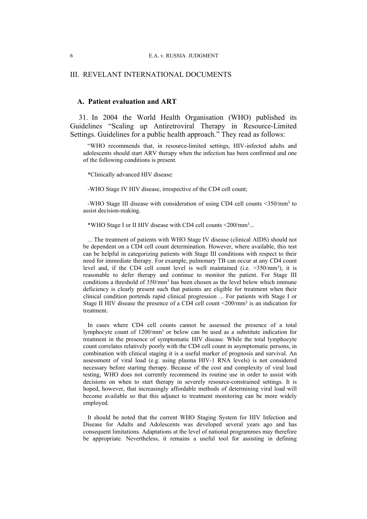## III. REVELANT INTERNATIONAL DOCUMENTS

### **A. Patient evaluation and ART**

<span id="page-7-0"></span>31. In 2004 the World Health Organisation (WHO) published its Guidelines "Scaling up Antiretroviral Therapy in Resource-Limited Settings. Guidelines for a public health approach." They read as follows:

"WHO recommends that, in resource-limited settings, HIV-infected adults and adolescents should start ARV therapy when the infection has been confirmed and one of the following conditions is present.

\*Clinically advanced HIV disease:

-WHO Stage IV HIV disease, irrespective of the CD4 cell count;

-WHO Stage III disease with consideration of using CD4 cell counts <350/mm<sup>3</sup> to assist decision-making.

\*WHO Stage I or II HIV disease with CD4 cell counts <200/mm<sup>3</sup> ...

... The treatment of patients with WHO Stage IV disease (clinical AIDS) should not be dependent on a CD4 cell count determination. However, where available, this test can be helpful in categorizing patients with Stage III conditions with respect to their need for immediate therapy. For example, pulmonary TB can occur at any CD4 count level and, if the CD4 cell count level is well maintained (i.e.  $>350/mm^3$ ), it is reasonable to defer therapy and continue to monitor the patient. For Stage III conditions a threshold of 350/mm<sup>3</sup> has been chosen as the level below which immune deficiency is clearly present such that patients are eligible for treatment when their clinical condition portends rapid clinical progression ... For patients with Stage I or Stage II HIV disease the presence of a CD4 cell count <200/mm<sup>3</sup> is an indication for treatment.

In cases where CD4 cell counts cannot be assessed the presence of a total lymphocyte count of 1200/mm<sup>3</sup> or below can be used as a substitute indication for treatment in the presence of symptomatic HIV disease. While the total lymphocyte count correlates relatively poorly with the CD4 cell count in asymptomatic persons, in combination with clinical staging it is a useful marker of prognosis and survival. An assessment of viral load (e.g. using plasma HIV-1 RNA levels) is not considered necessary before starting therapy. Because of the cost and complexity of viral load testing, WHO does not currently recommend its routine use in order to assist with decisions on when to start therapy in severely resource-constrained settings. It is hoped, however, that increasingly affordable methods of determining viral load will become available so that this adjunct to treatment monitoring can be more widely employed.

It should be noted that the current WHO Staging System for HIV Infection and Disease for Adults and Adolescents was developed several years ago and has consequent limitations. Adaptations at the level of national programmes may therefore be appropriate. Nevertheless, it remains a useful tool for assisting in defining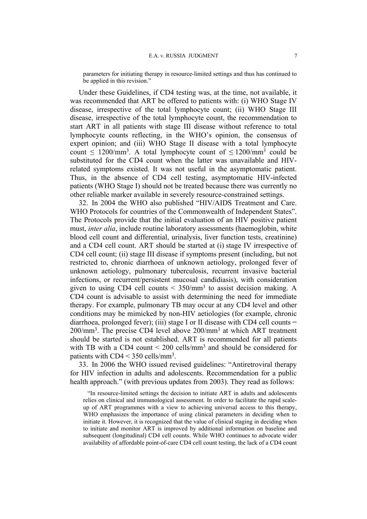parameters for initiating therapy in resource-limited settings and thus has continued to be applied in this revision."

Under these Guidelines, if CD4 testing was, at the time, not available, it was recommended that ART be offered to patients with: (i) WHO Stage IV disease, irrespective of the total lymphocyte count; (ii) WHO Stage III disease, irrespective of the total lymphocyte count, the recommendation to start ART in all patients with stage III disease without reference to total lymphocyte counts reflecting, in the WHO's opinion, the consensus of expert opinion; and (iii) WHO Stage II disease with a total lymphocyte count  $\leq 1200/\text{mm}^3$ . A total lymphocyte count of  $\leq 1200/\text{mm}^3$  could be substituted for the CD4 count when the latter was unavailable and HIVrelated symptoms existed. It was not useful in the asymptomatic patient. Thus, in the absence of CD4 cell testing, asymptomatic HIV-infected patients (WHO Stage I) should not be treated because there was currently no other reliable marker available in severely resource-constrained settings.

32. In 2004 the WHO also published "HIV/AIDS Treatment and Care. WHO Protocols for countries of the Commonwealth of Independent States". The Protocols provide that the initial evaluation of an HIV positive patient must, *inter alia*, include routine laboratory assessments (haemoglobin, white blood cell count and differential, urinalysis, liver function tests, creatinine) and a CD4 cell count. ART should be started at (i) stage IV irrespective of CD4 cell count; (ii) stage III disease if symptoms present (including, but not restricted to, chronic diarrhoea of unknown aetiology, prolonged fever of unknown aetiology, pulmonary tuberculosis, recurrent invasive bacterial infections, or recurrent/persistent mucosal candidiasis), with consideration given to using CD4 cell counts  $\leq$  350/mm<sup>3</sup> to assist decision making. A CD4 count is advisable to assist with determining the need for immediate therapy. For example, pulmonary TB may occur at any CD4 level and other conditions may be mimicked by non-HIV aetiologies (for example, chronic diarrhoea, prolonged fever); (iii) stage I or II disease with CD4 cell counts  $=$ 200/mm<sup>3</sup> . The precise CD4 level above 200/mm<sup>3</sup> at which ART treatment should be started is not established. ART is recommended for all patients with TB with a CD4 count  $\leq 200$  cells/mm<sup>3</sup> and should be considered for patients with CD4 < 350 cells/mm<sup>3</sup> .

33. In 2006 the WHO issued revised guidelines: "Antiretroviral therapy for HIV infection in adults and adolescents. Recommendation for a public health approach." (with previous updates from 2003). They read as follows:

"In resource-limited settings the decision to initiate ART in adults and adolescents relies on clinical and immunological assessment. In order to facilitate the rapid scaleup of ART programmes with a view to achieving universal access to this therapy, WHO emphasizes the importance of using clinical parameters in deciding when to initiate it. However, it is recognized that the value of clinical staging in deciding when to initiate and monitor ART is improved by additional information on baseline and subsequent (longitudinal) CD4 cell counts. While WHO continues to advocate wider availability of affordable point-of-care CD4 cell count testing, the lack of a CD4 count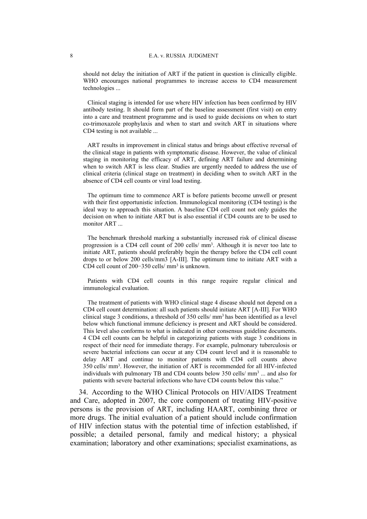should not delay the initiation of ART if the patient in question is clinically eligible. WHO encourages national programmes to increase access to CD4 measurement technologies ...

Clinical staging is intended for use where HIV infection has been confirmed by HIV antibody testing. It should form part of the baseline assessment (first visit) on entry into a care and treatment programme and is used to guide decisions on when to start co-trimoxazole prophylaxis and when to start and switch ART in situations where CD4 testing is not available ...

ART results in improvement in clinical status and brings about effective reversal of the clinical stage in patients with symptomatic disease. However, the value of clinical staging in monitoring the efficacy of ART, defining ART failure and determining when to switch ART is less clear. Studies are urgently needed to address the use of clinical criteria (clinical stage on treatment) in deciding when to switch ART in the absence of CD4 cell counts or viral load testing.

The optimum time to commence ART is before patients become unwell or present with their first opportunistic infection. Immunological monitoring (CD4 testing) is the ideal way to approach this situation. A baseline CD4 cell count not only guides the decision on when to initiate ART but is also essential if CD4 counts are to be used to monitor ART ...

The benchmark threshold marking a substantially increased risk of clinical disease progression is a CD4 cell count of 200 cells/ mm<sup>3</sup>. Although it is never too late to initiate ART, patients should preferably begin the therapy before the CD4 cell count drops to or below 200 cells/mm3 [A-III]. The optimum time to initiate ART with a CD4 cell count of 200−350 cells/ mm<sup>3</sup> is unknown.

Patients with CD4 cell counts in this range require regular clinical and immunological evaluation.

The treatment of patients with WHO clinical stage 4 disease should not depend on a CD4 cell count determination: all such patients should initiate ART [A-III]. For WHO clinical stage 3 conditions, a threshold of 350 cells/ mm<sup>3</sup> has been identified as a level below which functional immune deficiency is present and ART should be considered. This level also conforms to what is indicated in other consensus guideline documents. 4 CD4 cell counts can be helpful in categorizing patients with stage 3 conditions in respect of their need for immediate therapy. For example, pulmonary tuberculosis or severe bacterial infections can occur at any CD4 count level and it is reasonable to delay ART and continue to monitor patients with CD4 cell counts above 350 cells/ mm<sup>3</sup> . However, the initiation of ART is recommended for all HIV-infected individuals with pulmonary TB and CD4 counts below 350 cells/ mm<sup>3</sup> ... and also for patients with severe bacterial infections who have CD4 counts below this value."

34. According to the WHO Clinical Protocols on HIV/AIDS Treatment and Care, adopted in 2007, the core component of treating HIV-positive persons is the provision of ART, including HAART, combining three or more drugs. The initial evaluation of a patient should include confirmation of HIV infection status with the potential time of infection established, if possible; a detailed personal, family and medical history; a physical examination; laboratory and other examinations; specialist examinations, as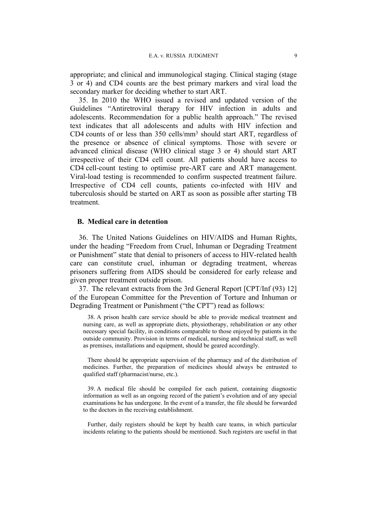appropriate; and clinical and immunological staging. Clinical staging (stage 3 or 4) and CD4 counts are the best primary markers and viral load the secondary marker for deciding whether to start ART.

35. In 2010 the WHO issued a revised and updated version of the Guidelines "Antiretroviral therapy for HIV infection in adults and adolescents. Recommendation for a public health approach." The revised text indicates that all adolescents and adults with HIV infection and CD4 counts of or less than 350 cells/mm<sup>3</sup> should start ART, regardless of the presence or absence of clinical symptoms. Those with severe or advanced clinical disease (WHO clinical stage 3 or 4) should start ART irrespective of their CD4 cell count. All patients should have access to CD4 cell-count testing to optimise pre-ART care and ART management. Viral-load testing is recommended to confirm suspected treatment failure. Irrespective of CD4 cell counts, patients co-infected with HIV and tuberculosis should be started on ART as soon as possible after starting TB treatment.

# **B. Medical care in detention**

36. The United Nations Guidelines on HIV/AIDS and Human Rights, under the heading "Freedom from Cruel, Inhuman or Degrading Treatment or Punishment" state that denial to prisoners of access to HIV-related health care can constitute cruel, inhuman or degrading treatment, whereas prisoners suffering from AIDS should be considered for early release and given proper treatment outside prison.

<span id="page-10-0"></span>37. The relevant extracts from the 3rd General Report [CPT/Inf (93) 12] of the European Committee for the Prevention of Torture and Inhuman or Degrading Treatment or Punishment ("the CPT") read as follows:

38. A prison health care service should be able to provide medical treatment and nursing care, as well as appropriate diets, physiotherapy, rehabilitation or any other necessary special facility, in conditions comparable to those enjoyed by patients in the outside community. Provision in terms of medical, nursing and technical staff, as well as premises, installations and equipment, should be geared accordingly.

There should be appropriate supervision of the pharmacy and of the distribution of medicines. Further, the preparation of medicines should always be entrusted to qualified staff (pharmacist/nurse, etc.).

39. A medical file should be compiled for each patient, containing diagnostic information as well as an ongoing record of the patient's evolution and of any special examinations he has undergone. In the event of a transfer, the file should be forwarded to the doctors in the receiving establishment.

Further, daily registers should be kept by health care teams, in which particular incidents relating to the patients should be mentioned. Such registers are useful in that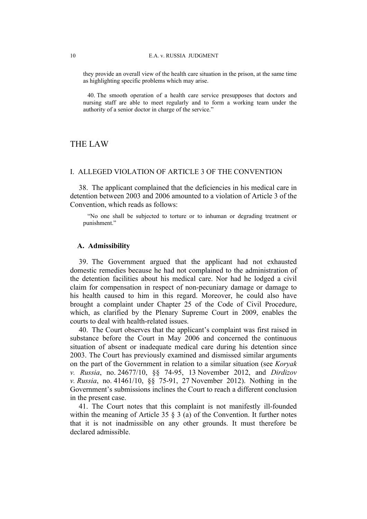they provide an overall view of the health care situation in the prison, at the same time as highlighting specific problems which may arise.

40. The smooth operation of a health care service presupposes that doctors and nursing staff are able to meet regularly and to form a working team under the authority of a senior doctor in charge of the service."

# THE LAW

# I. ALLEGED VIOLATION OF ARTICLE 3 OF THE CONVENTION

38. The applicant complained that the deficiencies in his medical care in detention between 2003 and 2006 amounted to a violation of Article 3 of the Convention, which reads as follows:

"No one shall be subjected to torture or to inhuman or degrading treatment or punishment."

# **A. Admissibility**

39. The Government argued that the applicant had not exhausted domestic remedies because he had not complained to the administration of the detention facilities about his medical care. Nor had he lodged a civil claim for compensation in respect of non-pecuniary damage or damage to his health caused to him in this regard. Moreover, he could also have brought a complaint under Chapter 25 of the Code of Civil Procedure, which, as clarified by the Plenary Supreme Court in 2009, enables the courts to deal with health-related issues.

40. The Court observes that the applicant's complaint was first raised in substance before the Court in May 2006 and concerned the continuous situation of absent or inadequate medical care during his detention since 2003. The Court has previously examined and dismissed similar arguments on the part of the Government in relation to a similar situation (see *Koryak v. Russia*, no. 24677/10, §§ 74-95, 13 November 2012, and *Dirdizov v. Russia*, no. 41461/10, §§ 75-91, 27 November 2012). Nothing in the Government's submissions inclines the Court to reach a different conclusion in the present case.

41. The Court notes that this complaint is not manifestly ill-founded within the meaning of Article 35  $\frac{8}{3}$  (a) of the Convention. It further notes that it is not inadmissible on any other grounds. It must therefore be declared admissible.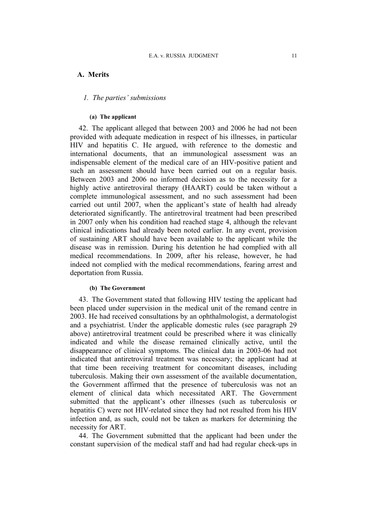# **A. Merits**

### *1. The parties' submissions*

#### **(a) The applicant**

42. The applicant alleged that between 2003 and 2006 he had not been provided with adequate medication in respect of his illnesses, in particular HIV and hepatitis C. He argued, with reference to the domestic and international documents, that an immunological assessment was an indispensable element of the medical care of an HIV-positive patient and such an assessment should have been carried out on a regular basis. Between 2003 and 2006 no informed decision as to the necessity for a highly active antiretroviral therapy (HAART) could be taken without a complete immunological assessment, and no such assessment had been carried out until 2007, when the applicant's state of health had already deteriorated significantly. The antiretroviral treatment had been prescribed in 2007 only when his condition had reached stage 4, although the relevant clinical indications had already been noted earlier. In any event, provision of sustaining ART should have been available to the applicant while the disease was in remission. During his detention he had complied with all medical recommendations. In 2009, after his release, however, he had indeed not complied with the medical recommendations, fearing arrest and deportation from Russia.

#### **(b) The Government**

43. The Government stated that following HIV testing the applicant had been placed under supervision in the medical unit of the remand centre in 2003. He had received consultations by an ophthalmologist, a dermatologist and a psychiatrist. Under the applicable domestic rules (see paragraph [29](#page-6-0) above) antiretroviral treatment could be prescribed where it was clinically indicated and while the disease remained clinically active, until the disappearance of clinical symptoms. The clinical data in 2003-06 had not indicated that antiretroviral treatment was necessary; the applicant had at that time been receiving treatment for concomitant diseases, including tuberculosis. Making their own assessment of the available documentation, the Government affirmed that the presence of tuberculosis was not an element of clinical data which necessitated ART. The Government submitted that the applicant's other illnesses (such as tuberculosis or hepatitis C) were not HIV-related since they had not resulted from his HIV infection and, as such, could not be taken as markers for determining the necessity for ART.

44. The Government submitted that the applicant had been under the constant supervision of the medical staff and had had regular check-ups in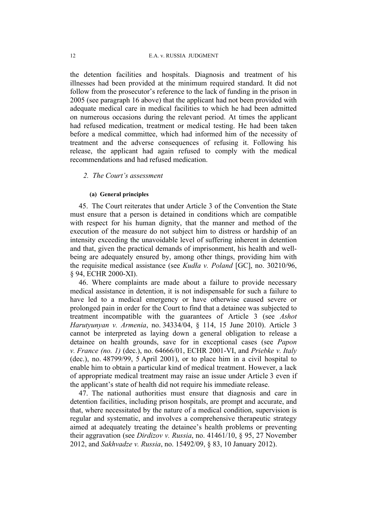the detention facilities and hospitals. Diagnosis and treatment of his illnesses had been provided at the minimum required standard. It did not follow from the prosecutor's reference to the lack of funding in the prison in 2005 (see paragraph [16](#page-4-0) above) that the applicant had not been provided with adequate medical care in medical facilities to which he had been admitted on numerous occasions during the relevant period. At times the applicant had refused medication, treatment or medical testing. He had been taken before a medical committee, which had informed him of the necessity of treatment and the adverse consequences of refusing it. Following his release, the applicant had again refused to comply with the medical recommendations and had refused medication.

# *2. The Court's assessment*

#### **(a) General principles**

45. The Court reiterates that under Article 3 of the Convention the State must ensure that a person is detained in conditions which are compatible with respect for his human dignity, that the manner and method of the execution of the measure do not subject him to distress or hardship of an intensity exceeding the unavoidable level of suffering inherent in detention and that, given the practical demands of imprisonment, his health and wellbeing are adequately ensured by, among other things, providing him with the requisite medical assistance (see *Kudła v. Poland* [GC], no. 30210/96, § 94, ECHR 2000-XI).

46. Where complaints are made about a failure to provide necessary medical assistance in detention, it is not indispensable for such a failure to have led to a medical emergency or have otherwise caused severe or prolonged pain in order for the Court to find that a detainee was subjected to treatment incompatible with the guarantees of Article 3 (see *Ashot Harutyunyan v. Armenia*, no. 34334/04, § 114, 15 June 2010). Article 3 cannot be interpreted as laying down a general obligation to release a detainee on health grounds, save for in exceptional cases (see *Papon v. France (no. 1)* (dec.), no. 64666/01, ECHR 2001-VI, and *Priebke v. Italy* (dec.), no. 48799/99, 5 April 2001), or to place him in a civil hospital to enable him to obtain a particular kind of medical treatment. However, a lack of appropriate medical treatment may raise an issue under Article 3 even if the applicant's state of health did not require his immediate release.

47. The national authorities must ensure that diagnosis and care in detention facilities, including prison hospitals, are prompt and accurate, and that, where necessitated by the nature of a medical condition, supervision is regular and systematic, and involves a comprehensive therapeutic strategy aimed at adequately treating the detainee's health problems or preventing their aggravation (see *Dirdizov v. Russia*, no. 41461/10, § 95, 27 November 2012, and *Sakhvadze v. Russia*, no. 15492/09, § 83, 10 January 2012).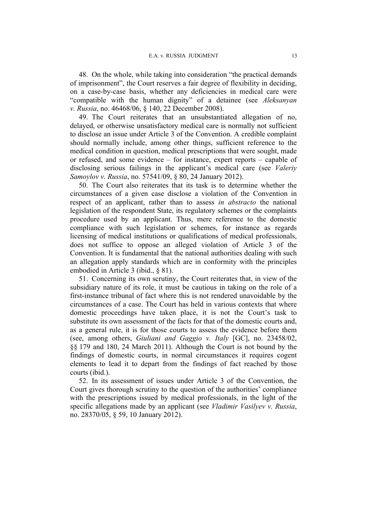48. On the whole, while taking into consideration "the practical demands of imprisonment", the Court reserves a fair degree of flexibility in deciding, on a case-by-case basis, whether any deficiencies in medical care were "compatible with the human dignity" of a detainee (see *Aleksanyan v. Russia*, no. 46468/06, § 140, 22 December 2008).

49. The Court reiterates that an unsubstantiated allegation of no, delayed, or otherwise unsatisfactory medical care is normally not sufficient to disclose an issue under Article 3 of the Convention. A credible complaint should normally include, among other things, sufficient reference to the medical condition in question, medical prescriptions that were sought, made or refused, and some evidence – for instance, expert reports – capable of disclosing serious failings in the applicant's medical care (see *Valeriy Samoylov v. Russia*, no. 57541/09, § 80, 24 January 2012).

50. The Court also reiterates that its task is to determine whether the circumstances of a given case disclose a violation of the Convention in respect of an applicant, rather than to assess *in abstracto* the national legislation of the respondent State, its regulatory schemes or the complaints procedure used by an applicant. Thus, mere reference to the domestic compliance with such legislation or schemes, for instance as regards licensing of medical institutions or qualifications of medical professionals, does not suffice to oppose an alleged violation of Article 3 of the Convention. It is fundamental that the national authorities dealing with such an allegation apply standards which are in conformity with the principles embodied in Article 3 (ibid., § 81).

51. Concerning its own scrutiny, the Court reiterates that, in view of the subsidiary nature of its role, it must be cautious in taking on the role of a first-instance tribunal of fact where this is not rendered unavoidable by the circumstances of a case. The Court has held in various contexts that where domestic proceedings have taken place, it is not the Court's task to substitute its own assessment of the facts for that of the domestic courts and, as a general rule, it is for those courts to assess the evidence before them (see, among others, *Giuliani and Gaggio v. Italy* [GC], no. 23458/02, §§ 179 and 180, 24 March 2011). Although the Court is not bound by the findings of domestic courts, in normal circumstances it requires cogent elements to lead it to depart from the findings of fact reached by those courts (ibid.).

52. In its assessment of issues under Article 3 of the Convention, the Court gives thorough scrutiny to the question of the authorities' compliance with the prescriptions issued by medical professionals, in the light of the specific allegations made by an applicant (see *Vladimir Vasilyev v. Russia*, no. 28370/05, § 59, 10 January 2012).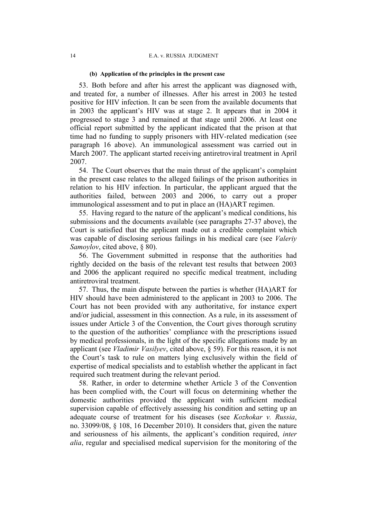#### **(b) Application of the principles in the present case**

53. Both before and after his arrest the applicant was diagnosed with, and treated for, a number of illnesses. After his arrest in 2003 he tested positive for HIV infection. It can be seen from the available documents that in 2003 the applicant's HIV was at stage 2. It appears that in 2004 it progressed to stage 3 and remained at that stage until 2006. At least one official report submitted by the applicant indicated that the prison at that time had no funding to supply prisoners with HIV-related medication (see paragraph [16](#page-4-0) above). An immunological assessment was carried out in March 2007. The applicant started receiving antiretroviral treatment in April 2007.

54. The Court observes that the main thrust of the applicant's complaint in the present case relates to the alleged failings of the prison authorities in relation to his HIV infection. In particular, the applicant argued that the authorities failed, between 2003 and 2006, to carry out a proper immunological assessment and to put in place an (HA)ART regimen.

55. Having regard to the nature of the applicant's medical conditions, his submissions and the documents available (see paragraphs [27](#page-6-1)[-37](#page-10-0) above), the Court is satisfied that the applicant made out a credible complaint which was capable of disclosing serious failings in his medical care (see *Valeriy Samoylov*, cited above, § 80).

56. The Government submitted in response that the authorities had rightly decided on the basis of the relevant test results that between 2003 and 2006 the applicant required no specific medical treatment, including antiretroviral treatment.

57. Thus, the main dispute between the parties is whether (HA)ART for HIV should have been administered to the applicant in 2003 to 2006. The Court has not been provided with any authoritative, for instance expert and/or judicial, assessment in this connection. As a rule, in its assessment of issues under Article 3 of the Convention, the Court gives thorough scrutiny to the question of the authorities' compliance with the prescriptions issued by medical professionals, in the light of the specific allegations made by an applicant (see *Vladimir Vasilyev*, cited above, § 59). For this reason, it is not the Court's task to rule on matters lying exclusively within the field of expertise of medical specialists and to establish whether the applicant in fact required such treatment during the relevant period.

58. Rather, in order to determine whether Article 3 of the Convention has been complied with, the Court will focus on determining whether the domestic authorities provided the applicant with sufficient medical supervision capable of effectively assessing his condition and setting up an adequate course of treatment for his diseases (see *Kozhokar v. Russia*, no. 33099/08, § 108, 16 December 2010). It considers that, given the nature and seriousness of his ailments, the applicant's condition required, *inter alia*, regular and specialised medical supervision for the monitoring of the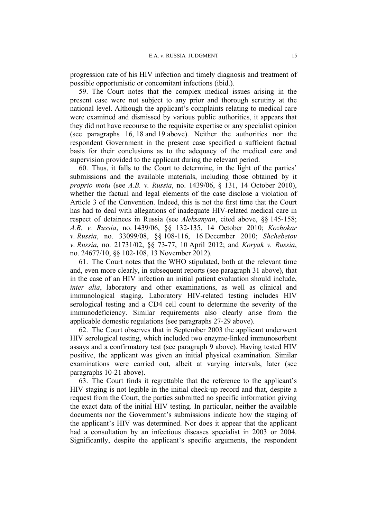progression rate of his HIV infection and timely diagnosis and treatment of possible opportunistic or concomitant infections (ibid.).

59. The Court notes that the complex medical issues arising in the present case were not subject to any prior and thorough scrutiny at the national level. Although the applicant's complaints relating to medical care were examined and dismissed by various public authorities, it appears that they did not have recourse to the requisite expertise or any specialist opinion (see paragraphs [16,](#page-4-0) [18](#page-4-1) and [19](#page-5-1) above). Neither the authorities nor the respondent Government in the present case specified a sufficient factual basis for their conclusions as to the adequacy of the medical care and supervision provided to the applicant during the relevant period.

60. Thus, it falls to the Court to determine, in the light of the parties' submissions and the available materials, including those obtained by it *proprio motu* (see *A.B. v. Russia*, no. 1439/06, § 131, 14 October 2010), whether the factual and legal elements of the case disclose a violation of Article 3 of the Convention. Indeed, this is not the first time that the Court has had to deal with allegations of inadequate HIV-related medical care in respect of detainees in Russia (see *Aleksanyan*, cited above, §§ 145-158; *A.B. v. Russia*, no. 1439/06, §§ 132-135, 14 October 2010; *Kozhokar v. Russia*, no. 33099/08, §§ 108-116, 16 December 2010; *Shchebetov v. Russia*, no. 21731/02, §§ 73-77, 10 April 2012; and *Koryak v. Russia*, no. 24677/10, §§ 102-108, 13 November 2012).

61. The Court notes that the WHO stipulated, both at the relevant time and, even more clearly, in subsequent reports (see paragraph [31](#page-7-0) above), that in the case of an HIV infection an initial patient evaluation should include, *inter alia*, laboratory and other examinations, as well as clinical and immunological staging. Laboratory HIV-related testing includes HIV serological testing and a CD4 cell count to determine the severity of the immunodeficiency. Similar requirements also clearly arise from the applicable domestic regulations (see paragraphs [27-](#page-6-1)[29](#page-6-0) above).

62. The Court observes that in September 2003 the applicant underwent HIV serological testing, which included two enzyme-linked immunosorbent assays and a confirmatory test (see paragraph [9](#page-3-1) above). Having tested HIV positive, the applicant was given an initial physical examination. Similar examinations were carried out, albeit at varying intervals, later (see paragraphs [10](#page-3-2)[-21](#page-5-2) above).

63. The Court finds it regrettable that the reference to the applicant's HIV staging is not legible in the initial check-up record and that, despite a request from the Court, the parties submitted no specific information giving the exact data of the initial HIV testing. In particular, neither the available documents nor the Government's submissions indicate how the staging of the applicant's HIV was determined. Nor does it appear that the applicant had a consultation by an infectious diseases specialist in 2003 or 2004. Significantly, despite the applicant's specific arguments, the respondent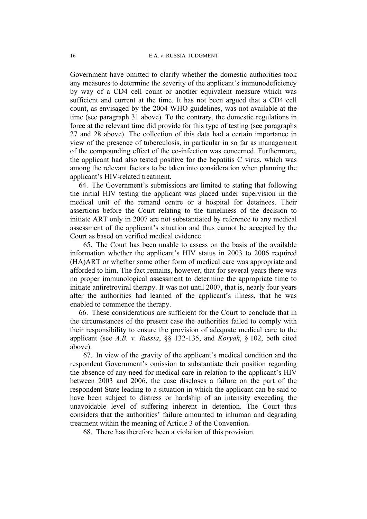Government have omitted to clarify whether the domestic authorities took any measures to determine the severity of the applicant's immunodeficiency by way of a CD4 cell count or another equivalent measure which was sufficient and current at the time. It has not been argued that a CD4 cell count, as envisaged by the 2004 WHO guidelines, was not available at the time (see paragraph [31](#page-7-0) above). To the contrary, the domestic regulations in force at the relevant time did provide for this type of testing (see paragraphs [27](#page-6-1) and 28 above). The collection of this data had a certain importance in view of the presence of tuberculosis, in particular in so far as management of the compounding effect of the co-infection was concerned. Furthermore, the applicant had also tested positive for the hepatitis C virus, which was among the relevant factors to be taken into consideration when planning the applicant's HIV-related treatment.

64. The Government's submissions are limited to stating that following the initial HIV testing the applicant was placed under supervision in the medical unit of the remand centre or a hospital for detainees. Their assertions before the Court relating to the timeliness of the decision to initiate ART only in 2007 are not substantiated by reference to any medical assessment of the applicant's situation and thus cannot be accepted by the Court as based on verified medical evidence.

65. The Court has been unable to assess on the basis of the available information whether the applicant's HIV status in 2003 to 2006 required (HA)ART or whether some other form of medical care was appropriate and afforded to him. The fact remains, however, that for several years there was no proper immunological assessment to determine the appropriate time to initiate antiretroviral therapy. It was not until 2007, that is, nearly four years after the authorities had learned of the applicant's illness, that he was enabled to commence the therapy.

66. These considerations are sufficient for the Court to conclude that in the circumstances of the present case the authorities failed to comply with their responsibility to ensure the provision of adequate medical care to the applicant (see *A.B. v. Russia*, §§ 132-135, and *Koryak*, § 102, both cited above).

67. In view of the gravity of the applicant's medical condition and the respondent Government's omission to substantiate their position regarding the absence of any need for medical care in relation to the applicant's HIV between 2003 and 2006, the case discloses a failure on the part of the respondent State leading to a situation in which the applicant can be said to have been subject to distress or hardship of an intensity exceeding the unavoidable level of suffering inherent in detention. The Court thus considers that the authorities' failure amounted to inhuman and degrading treatment within the meaning of Article 3 of the Convention.

68. There has therefore been a violation of this provision.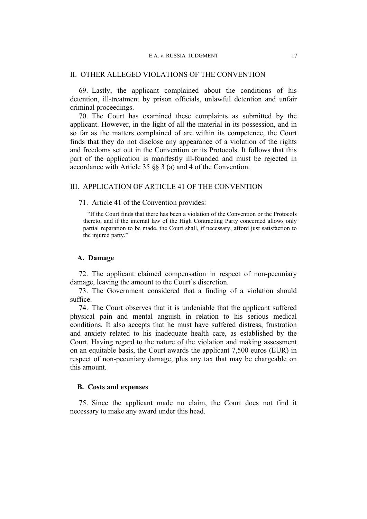#### E.A. v. RUSSIA JUDGMENT 17

### II. OTHER ALLEGED VIOLATIONS OF THE CONVENTION

69. Lastly, the applicant complained about the conditions of his detention, ill-treatment by prison officials, unlawful detention and unfair criminal proceedings.

70. The Court has examined these complaints as submitted by the applicant. However, in the light of all the material in its possession, and in so far as the matters complained of are within its competence, the Court finds that they do not disclose any appearance of a violation of the rights and freedoms set out in the Convention or its Protocols. It follows that this part of the application is manifestly ill-founded and must be rejected in accordance with Article 35 §§ 3 (a) and 4 of the Convention.

# III. APPLICATION OF ARTICLE 41 OF THE CONVENTION

#### 71. Article 41 of the Convention provides:

"If the Court finds that there has been a violation of the Convention or the Protocols thereto, and if the internal law of the High Contracting Party concerned allows only partial reparation to be made, the Court shall, if necessary, afford just satisfaction to the injured party."

#### **A. Damage**

72. The applicant claimed compensation in respect of non-pecuniary damage, leaving the amount to the Court's discretion.

73. The Government considered that a finding of a violation should suffice.

74. The Court observes that it is undeniable that the applicant suffered physical pain and mental anguish in relation to his serious medical conditions. It also accepts that he must have suffered distress, frustration and anxiety related to his inadequate health care, as established by the Court. Having regard to the nature of the violation and making assessment on an equitable basis, the Court awards the applicant 7,500 euros (EUR) in respect of non-pecuniary damage, plus any tax that may be chargeable on this amount.

# **B. Costs and expenses**

75. Since the applicant made no claim, the Court does not find it necessary to make any award under this head.